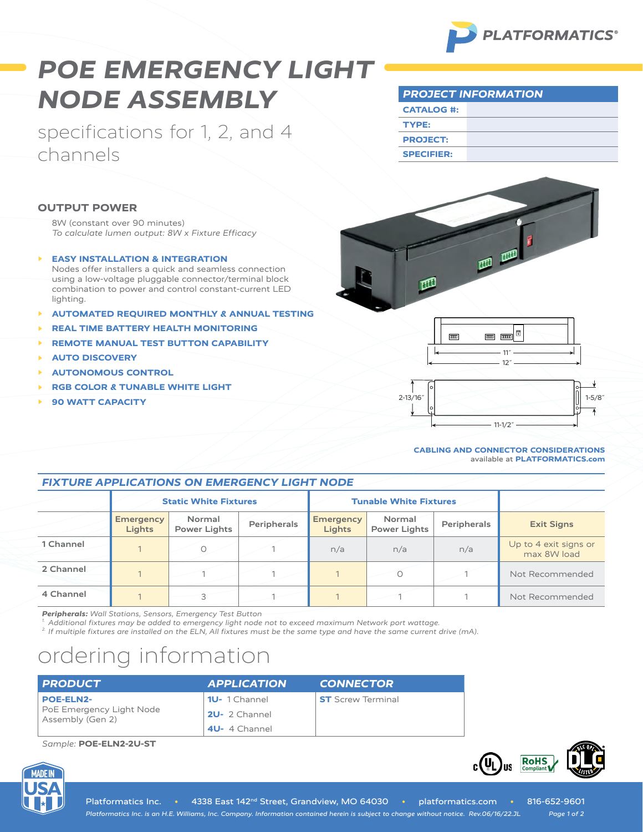

# *POE EMERGENCY LIGHT NODE ASSEMBLY*

specifications for 1, 2, and 4 channels

| <b>PROJECT INFORMATION</b> |  |  |
|----------------------------|--|--|
| <b>CATALOG #:</b>          |  |  |
| TYPE:                      |  |  |
| <b>PROJECT:</b>            |  |  |
| <b>SPECIFIER:</b>          |  |  |

### **OUTPUT POWER**

8W (constant over 90 minutes) *To calculate lumen output: 8W x Fixture Efficacy*

- **EASY INSTALLATION & INTEGRATION** Nodes offer installers a quick and seamless connection using a low-voltage pluggable connector/terminal block combination to power and control constant-current LED lighting.
- **▶ AUTOMATED REQUIRED MONTHLY & ANNUAL TESTING**
- **▶ REAL TIME BATTERY HEALTH MONITORING**
- **▶ REMOTE MANUAL TEST BUTTON CAPABILITY**
- **▶ AUTO DISCOVERY**
- **▶ AUTONOMOUS CONTROL**
- **▶ RGB COLOR & TUNABLE WHITE LIGHT**
- **▶ 90 WATT CAPACITY**







#### **CABLING AND CONNECTOR CONSIDERATIONS** available at **[PLATFORMATICS.com](https://platformatics.com/files/Cabling-Connector-Considerations.pdf)**

**RoHS** 

 $_{c}(\Psi_{L})_{us}$ 

### *FIXTURE APPLICATIONS ON EMERGENCY LIGHT NODE*

|           | <b>Static White Fixtures</b> |                               | <b>Tunable White Fixtures</b> |                                   |                               |             |                                      |
|-----------|------------------------------|-------------------------------|-------------------------------|-----------------------------------|-------------------------------|-------------|--------------------------------------|
|           | <b>Emergency</b><br>Lights   | Normal<br><b>Power Lights</b> | Peripherals                   | <b>Emergency</b><br><b>Lights</b> | Normal<br><b>Power Lights</b> | Peripherals | <b>Exit Signs</b>                    |
| 1 Channel |                              |                               |                               | n/a                               | n/a                           | n/a         | Up to 4 exit signs or<br>max 8W load |
| 2 Channel |                              |                               |                               |                                   |                               |             | Not Recommended                      |
| 4 Channel |                              |                               |                               |                                   |                               |             | Not Recommended                      |

*Peripherals: Wall Stations, Sensors, Emergency Test Button*

*1. Additional fixtures may be added to emergency light node not to exceed maximum Network port wattage.*

*2. If multiple fixtures are installed on the ELN, All fixtures must be the same type and have the same current drive (mA).*

## ordering information

| <b>PRODUCT</b>                               | <b>APPLICATION</b> | <b>CONNECTOR</b>         |
|----------------------------------------------|--------------------|--------------------------|
| <b>POE-ELN2-</b>                             | 10-1 Channel       | <b>ST</b> Screw Terminal |
| PoE Emergency Light Node<br>Assembly (Gen 2) | 2U-2 Channel       |                          |
|                                              | 4U-4 Channel       |                          |

*Sample:* **POE-ELN2-2U-ST**